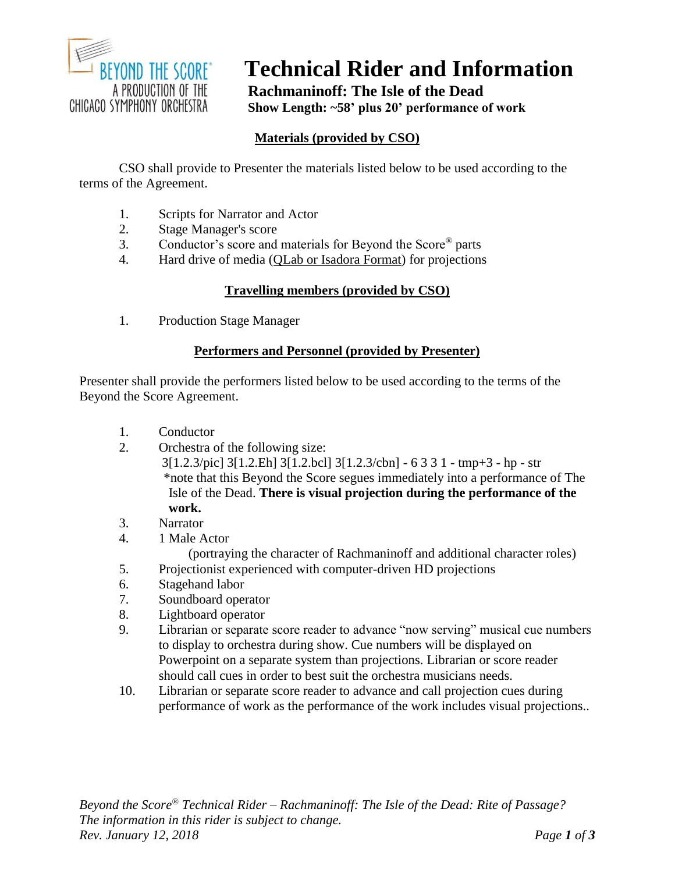

# **Technical Rider and Information**

**Rachmaninoff: The Isle of the Dead Show Length: ~58' plus 20' performance of work**

## **Materials (provided by CSO)**

CSO shall provide to Presenter the materials listed below to be used according to the terms of the Agreement.

- 1. Scripts for Narrator and Actor
- 2. Stage Manager's score
- 3. Conductor's score and materials for Beyond the Score® parts
- 4. Hard drive of media (QLab or Isadora Format) for projections

## **Travelling members (provided by CSO)**

1. Production Stage Manager

## **Performers and Personnel (provided by Presenter)**

Presenter shall provide the performers listed below to be used according to the terms of the Beyond the Score Agreement.

- 1. Conductor
- 2. Orchestra of the following size: 3[1.2.3/pic] 3[1.2.Eh] 3[1.2.bcl] 3[1.2.3/cbn] - 6 3 3 1 - tmp+3 - hp - str \*note that this Beyond the Score segues immediately into a performance of The Isle of the Dead. **There is visual projection during the performance of the work.**
- 3. Narrator
- 4. 1 Male Actor

(portraying the character of Rachmaninoff and additional character roles)

- 5. Projectionist experienced with computer-driven HD projections
- 6. Stagehand labor
- 7. Soundboard operator
- 8. Lightboard operator
- 9. Librarian or separate score reader to advance "now serving" musical cue numbers to display to orchestra during show. Cue numbers will be displayed on Powerpoint on a separate system than projections. Librarian or score reader should call cues in order to best suit the orchestra musicians needs.
- 10. Librarian or separate score reader to advance and call projection cues during performance of work as the performance of the work includes visual projections..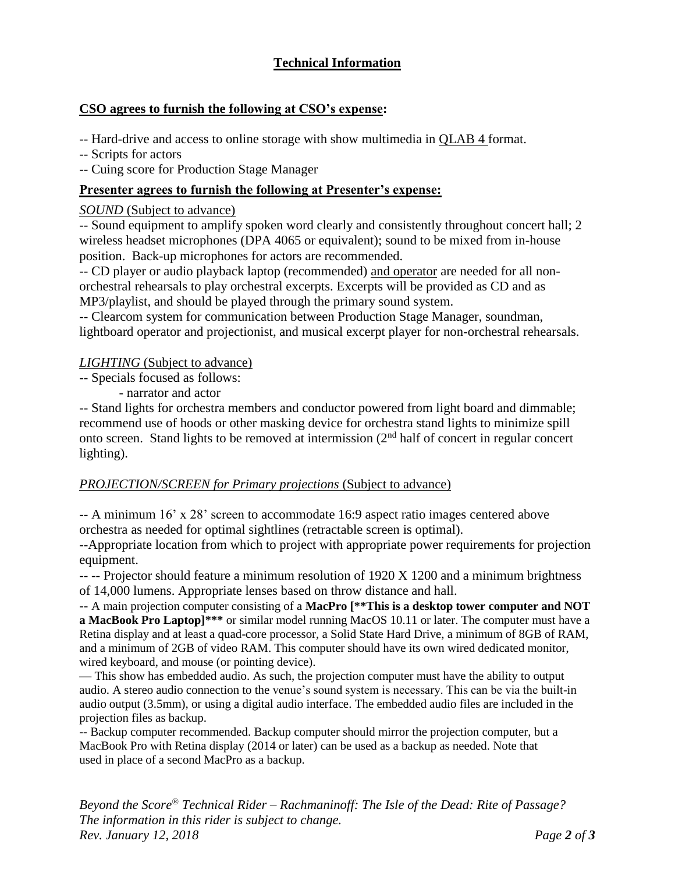## **Technical Information**

## **CSO agrees to furnish the following at CSO's expense:**

-- Hard-drive and access to online storage with show multimedia in QLAB 4 format.

-- Scripts for actors

-- Cuing score for Production Stage Manager

## **Presenter agrees to furnish the following at Presenter's expense:**

## *SOUND* (Subject to advance)

-- Sound equipment to amplify spoken word clearly and consistently throughout concert hall; 2 wireless headset microphones (DPA 4065 or equivalent); sound to be mixed from in-house position. Back-up microphones for actors are recommended.

-- CD player or audio playback laptop (recommended) and operator are needed for all nonorchestral rehearsals to play orchestral excerpts. Excerpts will be provided as CD and as MP3/playlist, and should be played through the primary sound system.

-- Clearcom system for communication between Production Stage Manager, soundman, lightboard operator and projectionist, and musical excerpt player for non-orchestral rehearsals.

#### *LIGHTING* (Subject to advance)

-- Specials focused as follows:

- narrator and actor

-- Stand lights for orchestra members and conductor powered from light board and dimmable; recommend use of hoods or other masking device for orchestra stand lights to minimize spill onto screen. Stand lights to be removed at intermission (2nd half of concert in regular concert lighting).

## *PROJECTION/SCREEN for Primary projections* (Subject to advance)

-- A minimum 16' x 28' screen to accommodate 16:9 aspect ratio images centered above orchestra as needed for optimal sightlines (retractable screen is optimal).

--Appropriate location from which to project with appropriate power requirements for projection equipment.

-- -- Projector should feature a minimum resolution of 1920 X 1200 and a minimum brightness of 14,000 lumens. Appropriate lenses based on throw distance and hall.

-- A main projection computer consisting of a **MacPro [\*\*This is a desktop tower computer and NOT a MacBook Pro Laptop]\*\*\*** or similar model running MacOS 10.11 or later. The computer must have a Retina display and at least a quad-core processor, a Solid State Hard Drive, a minimum of 8GB of RAM, and a minimum of 2GB of video RAM. This computer should have its own wired dedicated monitor, wired keyboard, and mouse (or pointing device).

— This show has embedded audio. As such, the projection computer must have the ability to output audio. A stereo audio connection to the venue's sound system is necessary. This can be via the built-in audio output (3.5mm), or using a digital audio interface. The embedded audio files are included in the projection files as backup.

-- Backup computer recommended. Backup computer should mirror the projection computer, but a MacBook Pro with Retina display (2014 or later) can be used as a backup as needed. Note that used in place of a second MacPro as a backup.

*Beyond the Score® Technical Rider – Rachmaninoff: The Isle of the Dead: Rite of Passage? The information in this rider is subject to change. Rev. January 12, 2018 Page 2 of 3*